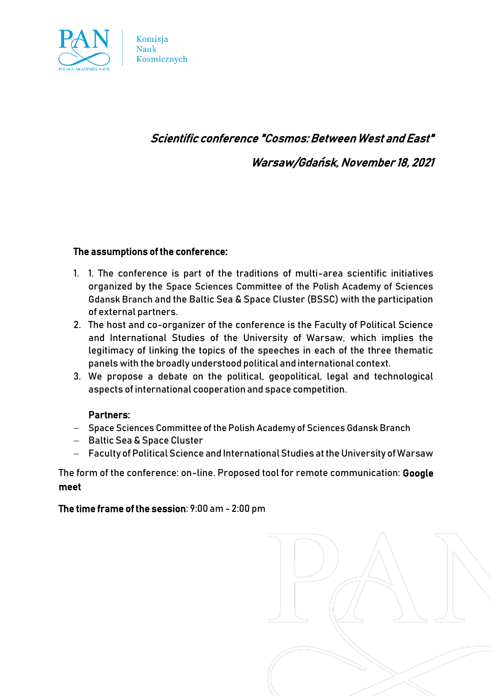

# Scientific conference "Cosmos: Between West and East"

Warsaw/Gdańsk, November 18, 2021

## The assumptions of the conference:

Komisja **Nauk** 

Kosmicznych

- 1. 1. The conference is part of the traditions of multi-area scientific initiatives organized by the Space Sciences Committee of the Polish Academy of Sciences Gdansk Branch and the Baltic Sea & Space Cluster (BSSC) with the participation of external partners.
- 2. The host and co-organizer of the conference is the Faculty of Political Science and International Studies of the University of Warsaw, which implies the legitimacy of linking the topics of the speeches in each of the three thematic panels with the broadly understood political and international context.
- 3. We propose a debate on the political, geopolitical, legal and technological aspects of international cooperation and space competition.

#### Partners:

- − Space Sciences Committee of the Polish Academy of Sciences Gdansk Branch
- − Baltic Sea & Space Cluster
- − Faculty of Political Science and International Studies at the University of Warsaw

The form of the conference: on-line. Proposed tool for remote communication: Google meet

The time frame of the session: 9:00 am - 2:00 pm

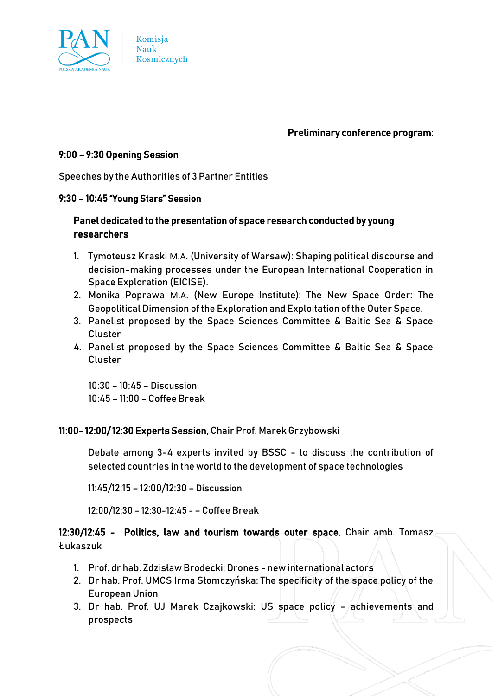

Preliminary conference program:

## 9:00 – 9:30 Opening Session

Speeches by the Authorities of 3 Partner Entities

#### 9:30 – 10:45 "Young Stars" Session

# Panel dedicated to the presentation of space research conducted by young researchers

- 1. Tymoteusz Kraski M.A. (University of Warsaw): Shaping political discourse and decision-making processes under the European International Cooperation in Space Exploration (EICISE).
- 2. Monika Poprawa M.A. (New Europe Institute): The New Space Order: The Geopolitical Dimension of the Exploration and Exploitation of the Outer Space.
- 3. Panelist proposed by the Space Sciences Committee & Baltic Sea & Space Cluster
- 4. Panelist proposed by the Space Sciences Committee & Baltic Sea & Space Cluster

10:30 – 10:45 – Discussion 10:45 – 11:00 – Coffee Break

## 11:00- 12:00/ 12:30 Experts Session, Chair Prof. Marek Grzybowski

Debate among 3-4 experts invited by BSSC - to discuss the contribution of selected countries in the world to the development of space technologies

11:45/12:15 – 12:00/12:30 – Discussion

12:00/12:30 – 12:30-12:45 - – Coffee Break

# 12:30/12:45 - Politics, law and tourism towards outer space. Chair amb. Tomasz Łukaszuk

- 1. Prof. dr hab. Zdzisław Brodecki: Drones new international actors
- 2. Dr hab. Prof. UMCS Irma Słomczyńska: The specificity of the space policy of the European Union
- 3. Dr hab. Prof. UJ Marek Czajkowski: US space policy achievements and prospects